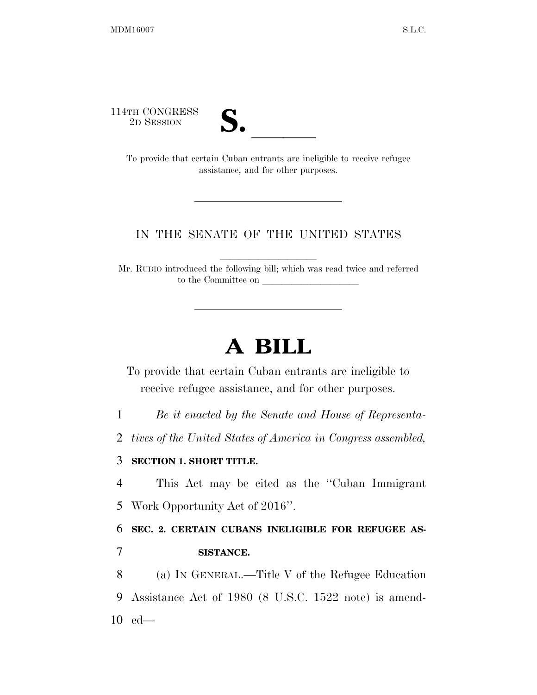114TH CONGRESS



TH CONGRESS<br>
2D SESSION<br>
To provide that certain Cuban entrants are ineligible to receive refugee assistance, and for other purposes.

## IN THE SENATE OF THE UNITED STATES

Mr. RUBIO introduced the following bill; which was read twice and referred to the Committee on

## **A BILL**

To provide that certain Cuban entrants are ineligible to receive refugee assistance, and for other purposes.

1 *Be it enacted by the Senate and House of Representa-*

2 *tives of the United States of America in Congress assembled,* 

## 3 **SECTION 1. SHORT TITLE.**

4 This Act may be cited as the ''Cuban Immigrant 5 Work Opportunity Act of 2016''.

6 **SEC. 2. CERTAIN CUBANS INELIGIBLE FOR REFUGEE AS-**7 **SISTANCE.** 

8 (a) IN GENERAL.—Title V of the Refugee Education 9 Assistance Act of 1980 (8 U.S.C. 1522 note) is amend-10 ed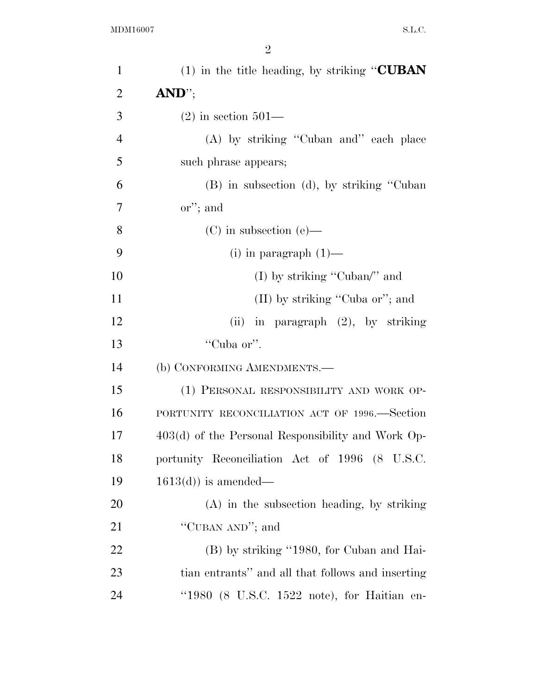| $\mathbf{1}$   | (1) in the title heading, by striking " $\text{CUBAN}$ |
|----------------|--------------------------------------------------------|
| $\overline{2}$ | $AND$ <sup>"</sup> ;                                   |
| 3              | $(2)$ in section 501—                                  |
| $\overline{4}$ | (A) by striking "Cuban and" each place                 |
| 5              | such phrase appears;                                   |
| 6              | (B) in subsection (d), by striking "Cuban"             |
| 7              | $\alpha$ <sup>"</sup> ; and                            |
| 8              | $(C)$ in subsection $(e)$ —                            |
| 9              | $(i)$ in paragraph $(1)$ —                             |
| 10             | (I) by striking "Cuban" and                            |
| 11             | (II) by striking "Cuba or"; and                        |
| 12             | (ii) in paragraph $(2)$ , by striking                  |
| 13             | "Cuba or".                                             |
| 14             | (b) CONFORMING AMENDMENTS.—                            |
| 15             | (1) PERSONAL RESPONSIBILITY AND WORK OP-               |
| 16             | PORTUNITY RECONCILIATION ACT OF 1996.—Section          |
| 17             | $403(d)$ of the Personal Responsibility and Work Op-   |
| 18             | portunity Reconciliation Act of 1996 (8 U.S.C.         |
| 19             | $1613(d)$ is amended—                                  |
| 20             | $(A)$ in the subsection heading, by striking           |
| 21             | "CUBAN AND"; and                                       |
| 22             | (B) by striking "1980, for Cuban and Hai-              |
| 23             | tian entrants" and all that follows and inserting      |
| 24             | " $1980$ (8 U.S.C. $1522$ note), for Haitian en-       |